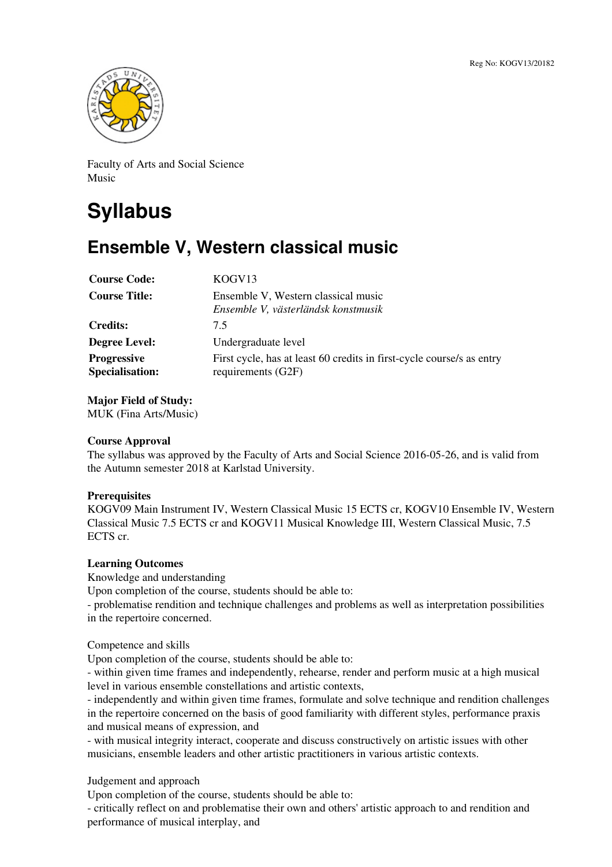

Faculty of Arts and Social Science Music

# **Syllabus**

# **Ensemble V, Western classical music**

| <b>Course Code:</b>                          | KOGV <sub>13</sub>                                                                          |
|----------------------------------------------|---------------------------------------------------------------------------------------------|
| <b>Course Title:</b>                         | Ensemble V, Western classical music<br>Ensemble V, västerländsk konstmusik                  |
| <b>Credits:</b>                              | 7.5                                                                                         |
| <b>Degree Level:</b>                         | Undergraduate level                                                                         |
| <b>Progressive</b><br><b>Specialisation:</b> | First cycle, has at least 60 credits in first-cycle course/s as entry<br>requirements (G2F) |

**Major Field of Study:** MUK (Fina Arts/Music)

## **Course Approval**

The syllabus was approved by the Faculty of Arts and Social Science 2016-05-26, and is valid from the Autumn semester 2018 at Karlstad University.

## **Prerequisites**

KOGV09 Main Instrument IV, Western Classical Music 15 ECTS cr, KOGV10 Ensemble IV, Western Classical Music 7.5 ECTS cr and KOGV11 Musical Knowledge III, Western Classical Music, 7.5 ECTS cr.

#### **Learning Outcomes**

Knowledge and understanding

Upon completion of the course, students should be able to:

- problematise rendition and technique challenges and problems as well as interpretation possibilities in the repertoire concerned.

Competence and skills

Upon completion of the course, students should be able to:

- within given time frames and independently, rehearse, render and perform music at a high musical level in various ensemble constellations and artistic contexts,

- independently and within given time frames, formulate and solve technique and rendition challenges in the repertoire concerned on the basis of good familiarity with different styles, performance praxis and musical means of expression, and

- with musical integrity interact, cooperate and discuss constructively on artistic issues with other musicians, ensemble leaders and other artistic practitioners in various artistic contexts.

Judgement and approach

Upon completion of the course, students should be able to:

- critically reflect on and problematise their own and others' artistic approach to and rendition and performance of musical interplay, and